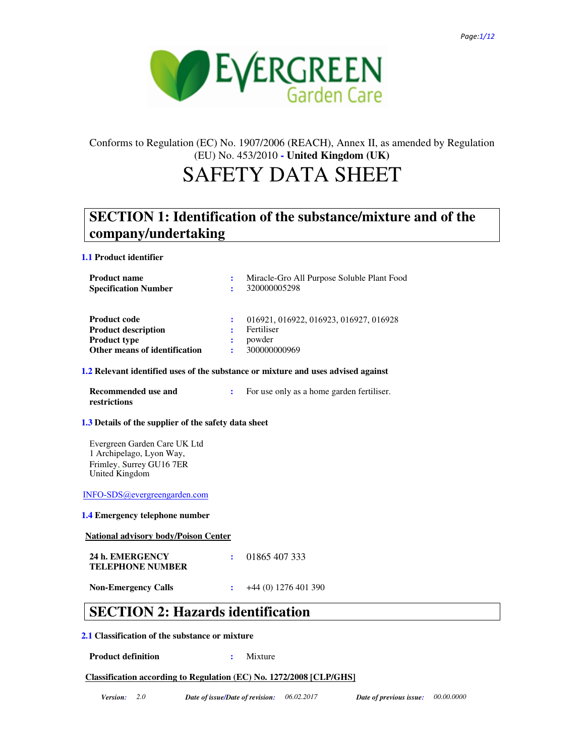

# Conforms to Regulation (EC) No. 1907/2006 (REACH), Annex II, as amended by Regulation (EU) No. 453/2010 **- United Kingdom (UK)**

# SAFETY DATA SHEET

# **SECTION 1: Identification of the substance/mixture and of the company/undertaking**

**1.1 Product identifier**

| <b>Product name</b><br><b>Specification Number</b> | ÷ | Miracle-Gro All Purpose Soluble Plant Food<br>320000005298 |
|----------------------------------------------------|---|------------------------------------------------------------|
| <b>Product code</b>                                |   | 016921, 016922, 016923, 016927, 016928                     |
| <b>Product description</b>                         |   | Fertiliser                                                 |
| <b>Product type</b>                                |   | powder                                                     |
| Other means of identification                      |   | 300000000969                                               |

#### **1.2 Relevant identified uses of the substance or mixture and uses advised against**

| Recommended use and | For use only as a home garden fertiliser. |
|---------------------|-------------------------------------------|
| restrictions        |                                           |

#### **1.3 Details of the supplier of the safety data sheet**

Evergreen Garden Care UK Ltd 1 Archipelago, Lyon Way, Frimley, Surrey GU16 7ER United Kingdom

INFO-SDS@evergreengarden.com

**1.4 Emergency telephone number**

**National advisory body/Poison Center**

| 24 h. EMERGENCY         | $\cdot$ 01865 407 333 |
|-------------------------|-----------------------|
| <b>TELEPHONE NUMBER</b> |                       |
|                         |                       |

**Non-Emergency Calls :** +44 (0) 1276 401 390

## **SECTION 2: Hazards identification**

### **2.1 Classification of the substance or mixture**

### **Product definition : 32.33 Mixture : 32.43**

#### **Classification according to Regulation (EC) No. 1272/2008 [CLP/GHS]**

*Version: 2.0 Date of issue/Date of revision: 06.02.2017 Date of previous issue: 00.00.0000*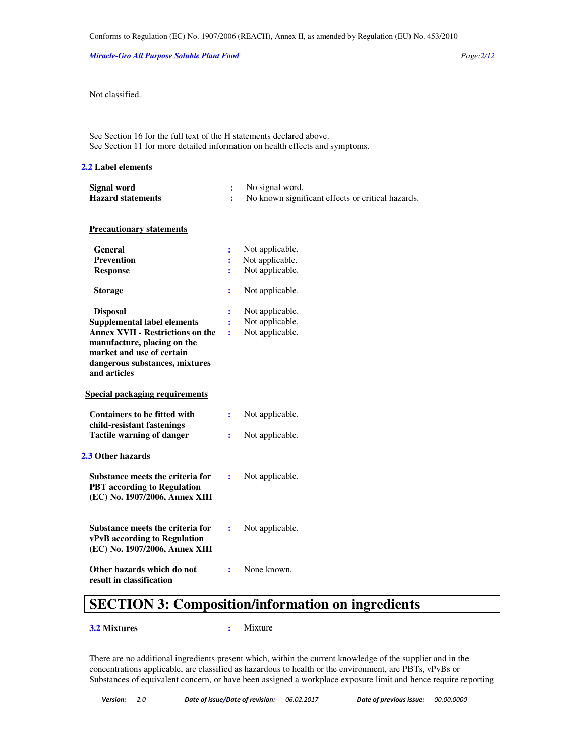*Miracle-Gro All Purpose Soluble Plant Food Page:2/12* 

Not classified.

See Section 16 for the full text of the H statements declared above. See Section 11 for more detailed information on health effects and symptoms.

#### **2.2 Label elements**

| Signal word              | No signal word.                                   |
|--------------------------|---------------------------------------------------|
| <b>Hazard statements</b> | No known significant effects or critical hazards. |

#### **Precautionary statements**

| General                                 | ፡              | Not applicable. |  |
|-----------------------------------------|----------------|-----------------|--|
| <b>Prevention</b>                       | ፡              | Not applicable. |  |
| <b>Response</b>                         | ÷              | Not applicable. |  |
| Storage                                 | ፡              | Not applicable. |  |
| <b>Disposal</b>                         |                | Not applicable. |  |
| <b>Supplemental label elements</b>      |                | Not applicable. |  |
| <b>Annex XVII - Restrictions on the</b> | ÷              | Not applicable. |  |
| manufacture, placing on the             |                |                 |  |
| market and use of certain               |                |                 |  |
| dangerous substances, mixtures          |                |                 |  |
| and articles                            |                |                 |  |
| Special packaging requirements          |                |                 |  |
| <b>Containers to be fitted with</b>     | $\ddot{\cdot}$ | Not applicable. |  |
| child-resistant fastenings              |                |                 |  |
| <b>Tactile warning of danger</b>        | $\ddot{\cdot}$ | Not applicable. |  |
|                                         |                |                 |  |
| 2.3 Other hazards                       |                |                 |  |
| Substance meets the criteria for        | ÷              | Not applicable. |  |
| <b>PBT</b> according to Regulation      |                |                 |  |
| (EC) No. 1907/2006, Annex XIII          |                |                 |  |
|                                         |                |                 |  |
| Substance meets the criteria for        | ÷              | Not applicable. |  |
| <b>vPvB</b> according to Regulation     |                |                 |  |
| (EC) No. 1907/2006, Annex XIII          |                |                 |  |
| Other hazards which do not              | ፡              | None known.     |  |
| result in classification                |                |                 |  |

# **SECTION 3: Composition/information on ingredients**

**3.2 Mixtures :** Mixture

There are no additional ingredients present which, within the current knowledge of the supplier and in the concentrations applicable, are classified as hazardous to health or the environment, are PBTs, vPvBs or Substances of equivalent concern, or have been assigned a workplace exposure limit and hence require reporting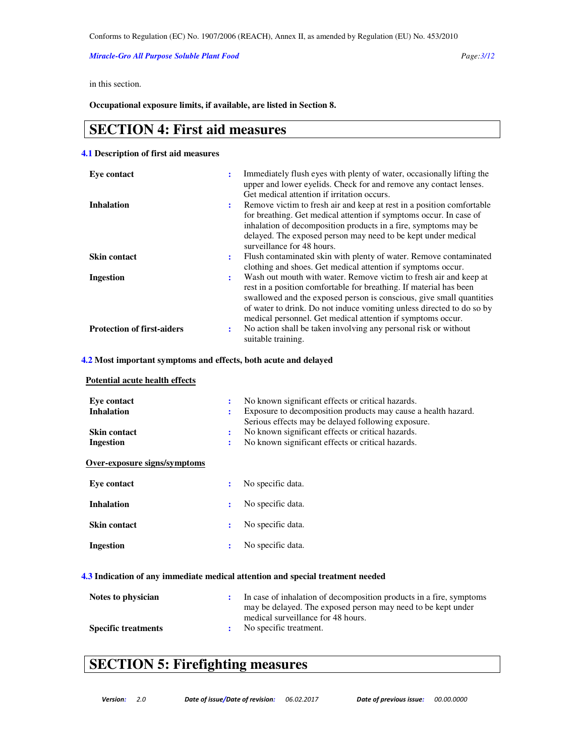*Miracle-Gro All Purpose Soluble Plant Food Page:3/12* 

in this section.

**Occupational exposure limits, if available, are listed in Section 8.** 

## **SECTION 4: First aid measures**

#### **4.1 Description of first aid measures**

| Eve contact                                                     | ÷                    | Immediately flush eyes with plenty of water, occasionally lifting the<br>upper and lower eyelids. Check for and remove any contact lenses.<br>Get medical attention if irritation occurs.                                                                                                                                                                                                                               |
|-----------------------------------------------------------------|----------------------|-------------------------------------------------------------------------------------------------------------------------------------------------------------------------------------------------------------------------------------------------------------------------------------------------------------------------------------------------------------------------------------------------------------------------|
| <b>Inhalation</b>                                               | ÷                    | Remove victim to fresh air and keep at rest in a position comfortable<br>for breathing. Get medical attention if symptoms occur. In case of<br>inhalation of decomposition products in a fire, symptoms may be<br>delayed. The exposed person may need to be kept under medical<br>surveillance for 48 hours.                                                                                                           |
| <b>Skin contact</b>                                             | ÷                    | Flush contaminated skin with plenty of water. Remove contaminated                                                                                                                                                                                                                                                                                                                                                       |
| <b>Ingestion</b>                                                | ÷                    | clothing and shoes. Get medical attention if symptoms occur.<br>Wash out mouth with water. Remove victim to fresh air and keep at<br>rest in a position comfortable for breathing. If material has been<br>swallowed and the exposed person is conscious, give small quantities<br>of water to drink. Do not induce vomiting unless directed to do so by<br>medical personnel. Get medical attention if symptoms occur. |
| <b>Protection of first-aiders</b>                               | $\ddot{\cdot}$       | No action shall be taken involving any personal risk or without<br>suitable training.                                                                                                                                                                                                                                                                                                                                   |
| 4.2 Most important symptoms and effects, both acute and delayed |                      |                                                                                                                                                                                                                                                                                                                                                                                                                         |
| Potential acute health effects                                  |                      |                                                                                                                                                                                                                                                                                                                                                                                                                         |
| Eye contact<br><b>Inhalation</b>                                | ÷<br>÷               | No known significant effects or critical hazards.<br>Exposure to decomposition products may cause a health hazard.<br>Serious effects may be delayed following exposure.                                                                                                                                                                                                                                                |
| <b>Skin contact</b>                                             | $\ddot{\cdot}$       | No known significant effects or critical hazards.                                                                                                                                                                                                                                                                                                                                                                       |
| <b>Ingestion</b>                                                | $\ddot{\phantom{a}}$ | No known significant effects or critical hazards.                                                                                                                                                                                                                                                                                                                                                                       |
| Over-exposure signs/symptoms                                    |                      |                                                                                                                                                                                                                                                                                                                                                                                                                         |
| <b>Eve contact</b>                                              | ÷                    | No specific data.                                                                                                                                                                                                                                                                                                                                                                                                       |

| Eve contact         | No specific data. |
|---------------------|-------------------|
| <b>Inhalation</b>   | No specific data. |
| <b>Skin contact</b> | No specific data. |
| Ingestion           | No specific data. |

#### **4.3 Indication of any immediate medical attention and special treatment needed**

| Notes to physician         | In case of inhalation of decomposition products in a fire, symptoms<br>may be delayed. The exposed person may need to be kept under |
|----------------------------|-------------------------------------------------------------------------------------------------------------------------------------|
|                            | medical surveillance for 48 hours.                                                                                                  |
| <b>Specific treatments</b> | No specific treatment.                                                                                                              |

# **SECTION 5: Firefighting measures**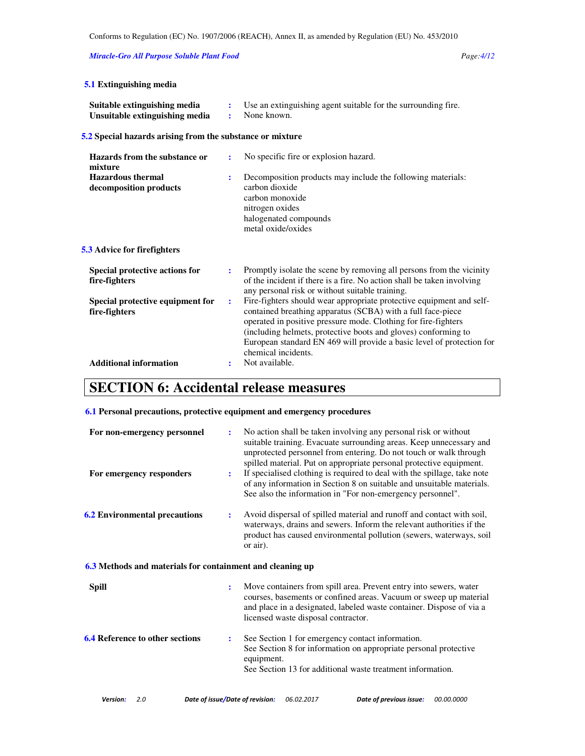*Miracle-Gro All Purpose Soluble Plant Food Page:4/12* 

| <b>5.1 Extinguishing media</b>                                 |                     |                                                                                                                                                                                                                                                                                                                                                                         |
|----------------------------------------------------------------|---------------------|-------------------------------------------------------------------------------------------------------------------------------------------------------------------------------------------------------------------------------------------------------------------------------------------------------------------------------------------------------------------------|
| Suitable extinguishing media<br>Unsuitable extinguishing media | $\ddot{\cdot}$<br>÷ | Use an extinguishing agent suitable for the surrounding fire.<br>None known.                                                                                                                                                                                                                                                                                            |
| 5.2 Special hazards arising from the substance or mixture      |                     |                                                                                                                                                                                                                                                                                                                                                                         |
| Hazards from the substance or<br>mixture                       | ÷                   | No specific fire or explosion hazard.                                                                                                                                                                                                                                                                                                                                   |
| <b>Hazardous</b> thermal<br>decomposition products             |                     | Decomposition products may include the following materials:<br>carbon dioxide<br>carbon monoxide<br>nitrogen oxides<br>halogenated compounds<br>metal oxide/oxides                                                                                                                                                                                                      |
| 5.3 Advice for firefighters                                    |                     |                                                                                                                                                                                                                                                                                                                                                                         |
| Special protective actions for<br>fire-fighters                | ÷                   | Promptly isolate the scene by removing all persons from the vicinity<br>of the incident if there is a fire. No action shall be taken involving<br>any personal risk or without suitable training.                                                                                                                                                                       |
| Special protective equipment for<br>fire-fighters              | $\ddot{\cdot}$      | Fire-fighters should wear appropriate protective equipment and self-<br>contained breathing apparatus (SCBA) with a full face-piece<br>operated in positive pressure mode. Clothing for fire-fighters<br>(including helmets, protective boots and gloves) conforming to<br>European standard EN 469 will provide a basic level of protection for<br>chemical incidents. |
| <b>Additional information</b>                                  |                     | Not available.                                                                                                                                                                                                                                                                                                                                                          |
| $CFTION$ 6. A coidental release measures                       |                     |                                                                                                                                                                                                                                                                                                                                                                         |

### **SECTION 6: Accidental release measures**

### **6.1 Personal precautions, protective equipment and emergency procedures**

| For non-emergency personnel<br>For emergency responders   | ÷<br>÷ | No action shall be taken involving any personal risk or without<br>suitable training. Evacuate surrounding areas. Keep unnecessary and<br>unprotected personnel from entering. Do not touch or walk through<br>spilled material. Put on appropriate personal protective equipment.<br>If specialised clothing is required to deal with the spillage, take note<br>of any information in Section 8 on suitable and unsuitable materials.<br>See also the information in "For non-emergency personnel". |
|-----------------------------------------------------------|--------|-------------------------------------------------------------------------------------------------------------------------------------------------------------------------------------------------------------------------------------------------------------------------------------------------------------------------------------------------------------------------------------------------------------------------------------------------------------------------------------------------------|
| <b>6.2 Environmental precautions</b>                      | ÷      | Avoid dispersal of spilled material and runoff and contact with soil,<br>waterways, drains and sewers. Inform the relevant authorities if the<br>product has caused environmental pollution (sewers, waterways, soil<br>or air).                                                                                                                                                                                                                                                                      |
| 6.3 Methods and materials for containment and cleaning up |        |                                                                                                                                                                                                                                                                                                                                                                                                                                                                                                       |
| <b>Spill</b>                                              | ÷      | Move containers from spill area. Prevent entry into sewers, water<br>courses, basements or confined areas. Vacuum or sweep up material<br>and place in a designated, labeled waste container. Dispose of via a<br>licensed waste disposal contractor.                                                                                                                                                                                                                                                 |
| <b>6.4 Reference to other sections</b>                    | ÷      | See Section 1 for emergency contact information.<br>See Section 8 for information on appropriate personal protective<br>equipment.<br>See Section 13 for additional waste treatment information.                                                                                                                                                                                                                                                                                                      |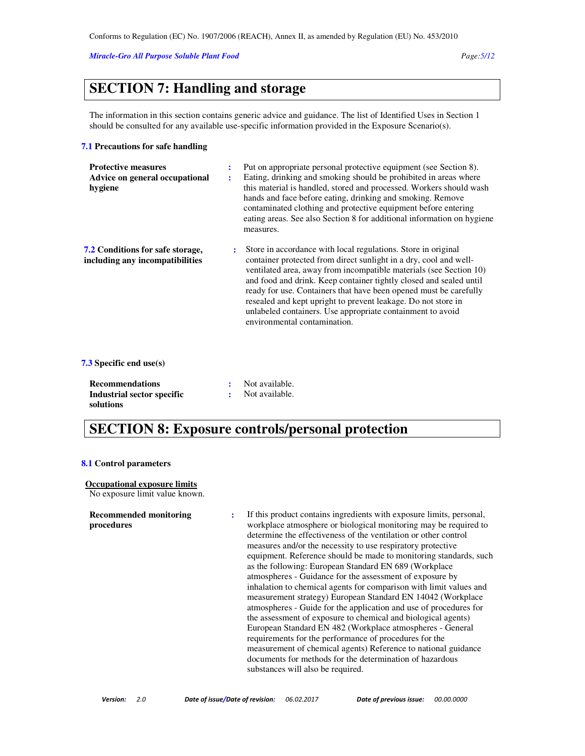#### *Miracle-Gro All Purpose Soluble Plant Food Page:5/12*

## **SECTION 7: Handling and storage**

The information in this section contains generic advice and guidance. The list of Identified Uses in Section 1 should be consulted for any available use-specific information provided in the Exposure Scenario(s).

#### **7.1 Precautions for safe handling**

| <b>Protective measures</b><br>Advice on general occupational<br>hygiene    | ÷<br>÷         | Put on appropriate personal protective equipment (see Section 8).<br>Eating, drinking and smoking should be prohibited in areas where<br>this material is handled, stored and processed. Workers should wash<br>hands and face before eating, drinking and smoking. Remove<br>contaminated clothing and protective equipment before entering<br>eating areas. See also Section 8 for additional information on hygiene<br>measures.                                                                                |
|----------------------------------------------------------------------------|----------------|--------------------------------------------------------------------------------------------------------------------------------------------------------------------------------------------------------------------------------------------------------------------------------------------------------------------------------------------------------------------------------------------------------------------------------------------------------------------------------------------------------------------|
| <b>7.2 Conditions for safe storage,</b><br>including any incompatibilities | $\ddot{\cdot}$ | Store in accordance with local regulations. Store in original<br>container protected from direct sunlight in a dry, cool and well-<br>ventilated area, away from incompatible materials (see Section 10)<br>and food and drink. Keep container tightly closed and sealed until<br>ready for use. Containers that have been opened must be carefully<br>resealed and kept upright to prevent leakage. Do not store in<br>unlabeled containers. Use appropriate containment to avoid<br>environmental contamination. |

#### **7.3 Specific end use(s)**

| <b>Recommendations</b>     | Not available. |
|----------------------------|----------------|
| Industrial sector specific | Not available. |
| solutions                  |                |

# **SECTION 8: Exposure controls/personal protection**

#### **8.1 Control parameters**

#### **Occupational exposure limits**

No exposure limit value known.

#### **Recommended monitoring procedures**

**:** If this product contains ingredients with exposure limits, personal, workplace atmosphere or biological monitoring may be required to determine the effectiveness of the ventilation or other control measures and/or the necessity to use respiratory protective equipment. Reference should be made to monitoring standards, such as the following: European Standard EN 689 (Workplace atmospheres - Guidance for the assessment of exposure by inhalation to chemical agents for comparison with limit values and measurement strategy) European Standard EN 14042 (Workplace atmospheres - Guide for the application and use of procedures for the assessment of exposure to chemical and biological agents) European Standard EN 482 (Workplace atmospheres - General requirements for the performance of procedures for the measurement of chemical agents) Reference to national guidance documents for methods for the determination of hazardous substances will also be required.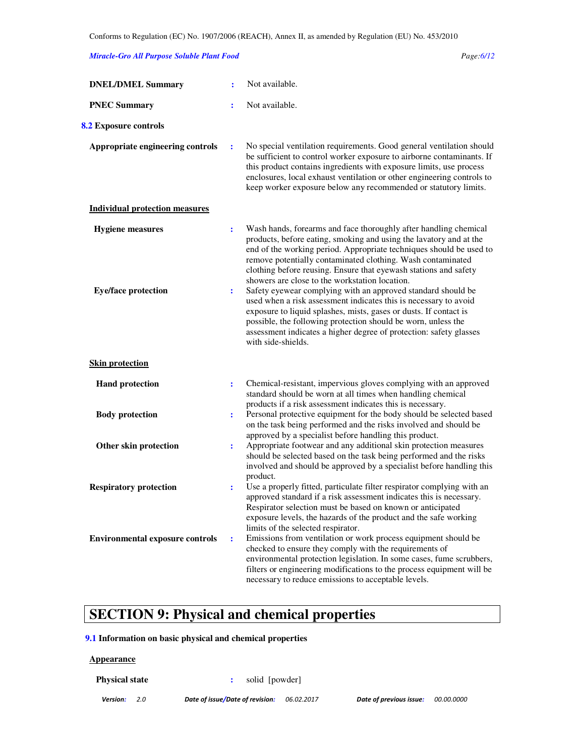#### *Miracle-Gro All Purpose Soluble Plant Food Page:6/12*

| <b>DNEL/DMEL Summary</b>               |                | Not available.                                                                                                                                                                                                                                                                                                                                                                                     |
|----------------------------------------|----------------|----------------------------------------------------------------------------------------------------------------------------------------------------------------------------------------------------------------------------------------------------------------------------------------------------------------------------------------------------------------------------------------------------|
| <b>PNEC Summary</b>                    | ÷              | Not available.                                                                                                                                                                                                                                                                                                                                                                                     |
| 8.2 Exposure controls                  |                |                                                                                                                                                                                                                                                                                                                                                                                                    |
| Appropriate engineering controls       | ÷              | No special ventilation requirements. Good general ventilation should<br>be sufficient to control worker exposure to airborne contaminants. If<br>this product contains ingredients with exposure limits, use process<br>enclosures, local exhaust ventilation or other engineering controls to<br>keep worker exposure below any recommended or statutory limits.                                  |
| <b>Individual protection measures</b>  |                |                                                                                                                                                                                                                                                                                                                                                                                                    |
| <b>Hygiene</b> measures                | ÷              | Wash hands, forearms and face thoroughly after handling chemical<br>products, before eating, smoking and using the lavatory and at the<br>end of the working period. Appropriate techniques should be used to<br>remove potentially contaminated clothing. Wash contaminated<br>clothing before reusing. Ensure that eyewash stations and safety<br>showers are close to the workstation location. |
| <b>Eye/face protection</b>             | ÷              | Safety eyewear complying with an approved standard should be<br>used when a risk assessment indicates this is necessary to avoid<br>exposure to liquid splashes, mists, gases or dusts. If contact is<br>possible, the following protection should be worn, unless the<br>assessment indicates a higher degree of protection: safety glasses<br>with side-shields.                                 |
| <b>Skin protection</b>                 |                |                                                                                                                                                                                                                                                                                                                                                                                                    |
| <b>Hand protection</b>                 | ÷              | Chemical-resistant, impervious gloves complying with an approved<br>standard should be worn at all times when handling chemical<br>products if a risk assessment indicates this is necessary.                                                                                                                                                                                                      |
| <b>Body protection</b>                 | ÷              | Personal protective equipment for the body should be selected based<br>on the task being performed and the risks involved and should be<br>approved by a specialist before handling this product.                                                                                                                                                                                                  |
| Other skin protection                  | ÷              | Appropriate footwear and any additional skin protection measures<br>should be selected based on the task being performed and the risks<br>involved and should be approved by a specialist before handling this<br>product.                                                                                                                                                                         |
| <b>Respiratory protection</b>          | $\ddot{\cdot}$ | Use a properly fitted, particulate filter respirator complying with an<br>approved standard if a risk assessment indicates this is necessary.<br>Respirator selection must be based on known or anticipated<br>exposure levels, the hazards of the product and the safe working<br>limits of the selected respirator.                                                                              |
| <b>Environmental exposure controls</b> | $\ddot{\cdot}$ | Emissions from ventilation or work process equipment should be<br>checked to ensure they comply with the requirements of<br>environmental protection legislation. In some cases, fume scrubbers,<br>filters or engineering modifications to the process equipment will be<br>necessary to reduce emissions to acceptable levels.                                                                   |

# **SECTION 9: Physical and chemical properties**

### **9.1 Information on basic physical and chemical properties**

#### **Appearance**

**Physical state :**  solid [powder]

Version: 2.0 Date of issue/Date of revision: 06.02.2017 Date of previous issue: 00.00.0000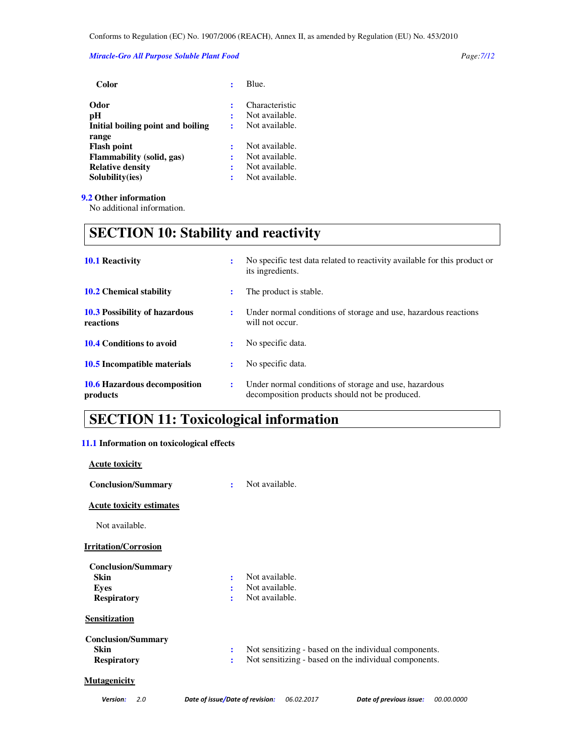#### *Miracle-Gro All Purpose Soluble Plant Food Page:7/12*

| Color                             |   | Blue.          |
|-----------------------------------|---|----------------|
| Odor                              |   | Characteristic |
| рH                                | ፡ | Not available. |
| Initial boiling point and boiling |   | Not available. |
| range                             |   |                |
| <b>Flash point</b>                |   | Not available. |
| Flammability (solid, gas)         | ÷ | Not available. |
| <b>Relative density</b>           |   | Not available. |
| Solubility(ies)                   |   | Not available. |
|                                   |   |                |

### **9.2 Other information**

No additional information.

# **SECTION 10: Stability and reactivity**

| <b>10.1 Reactivity</b>                            | ÷              | No specific test data related to reactivity available for this product or<br>its ingredients.           |  |
|---------------------------------------------------|----------------|---------------------------------------------------------------------------------------------------------|--|
| <b>10.2</b> Chemical stability                    | ÷              | The product is stable.                                                                                  |  |
| <b>10.3 Possibility of hazardous</b><br>reactions | $\ddot{\cdot}$ | Under normal conditions of storage and use, hazardous reactions<br>will not occur.                      |  |
| 10.4 Conditions to avoid                          | $\bullet$      | No specific data.                                                                                       |  |
| 10.5 Incompatible materials                       | ÷              | No specific data.                                                                                       |  |
| 10.6 Hazardous decomposition<br>products          | ÷              | Under normal conditions of storage and use, hazardous<br>decomposition products should not be produced. |  |

# **SECTION 11: Toxicological information**

#### **11.1 Information on toxicological effects**

| <b>Acute toxicity</b>           |   |                                                       |
|---------------------------------|---|-------------------------------------------------------|
| <b>Conclusion/Summary</b>       | ÷ | Not available.                                        |
| <b>Acute toxicity estimates</b> |   |                                                       |
| Not available.                  |   |                                                       |
| <b>Irritation/Corrosion</b>     |   |                                                       |
| <b>Conclusion/Summary</b>       |   |                                                       |
| <b>Skin</b>                     | ÷ | Not available.                                        |
| Eyes                            | ÷ | Not available.                                        |
| <b>Respiratory</b>              | ÷ | Not available.                                        |
| <b>Sensitization</b>            |   |                                                       |
| <b>Conclusion/Summary</b>       |   |                                                       |
| Skin                            | ÷ | Not sensitizing - based on the individual components. |
| <b>Respiratory</b>              | ٠ | Not sensitizing - based on the individual components. |
| Mutagenicitv                    |   |                                                       |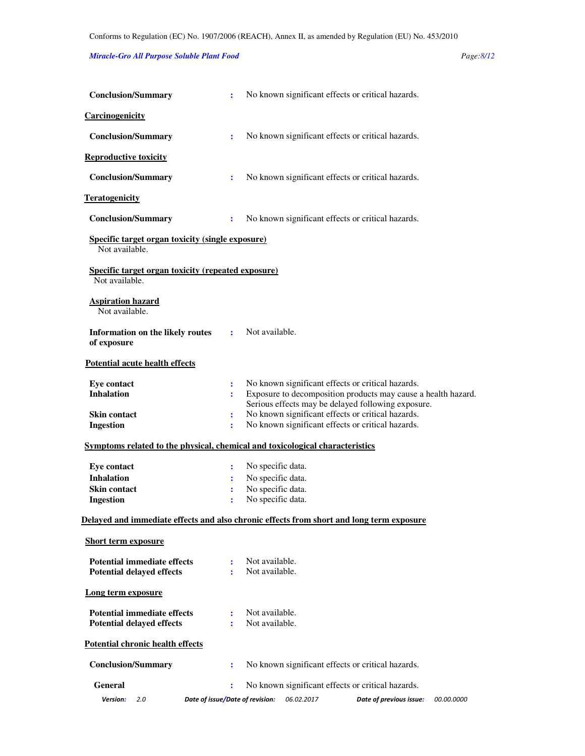### *Miracle-Gro All Purpose Soluble Plant Food Page:8/12*

| <b>Conclusion/Summary</b>                                                                | ÷                   |                                  |            | No known significant effects or critical hazards.                                                                                                                        |            |
|------------------------------------------------------------------------------------------|---------------------|----------------------------------|------------|--------------------------------------------------------------------------------------------------------------------------------------------------------------------------|------------|
| <b>Carcinogenicity</b>                                                                   |                     |                                  |            |                                                                                                                                                                          |            |
| <b>Conclusion/Summary</b>                                                                | $\ddot{\cdot}$      |                                  |            | No known significant effects or critical hazards.                                                                                                                        |            |
| <b>Reproductive toxicity</b>                                                             |                     |                                  |            |                                                                                                                                                                          |            |
| <b>Conclusion/Summary</b>                                                                | ÷                   |                                  |            | No known significant effects or critical hazards.                                                                                                                        |            |
| <b>Teratogenicity</b>                                                                    |                     |                                  |            |                                                                                                                                                                          |            |
| <b>Conclusion/Summary</b>                                                                | ÷                   |                                  |            | No known significant effects or critical hazards.                                                                                                                        |            |
| <b>Specific target organ toxicity (single exposure)</b><br>Not available.                |                     |                                  |            |                                                                                                                                                                          |            |
| Specific target organ toxicity (repeated exposure)<br>Not available.                     |                     |                                  |            |                                                                                                                                                                          |            |
| <b>Aspiration hazard</b><br>Not available.                                               |                     |                                  |            |                                                                                                                                                                          |            |
| Information on the likely routes<br>of exposure                                          | ÷                   | Not available.                   |            |                                                                                                                                                                          |            |
| <b>Potential acute health effects</b>                                                    |                     |                                  |            |                                                                                                                                                                          |            |
| <b>Eye contact</b><br><b>Inhalation</b>                                                  | ÷<br>$\ddot{\cdot}$ |                                  |            | No known significant effects or critical hazards.<br>Exposure to decomposition products may cause a health hazard.<br>Serious effects may be delayed following exposure. |            |
| <b>Skin contact</b><br><b>Ingestion</b>                                                  | $\ddot{\cdot}$<br>÷ |                                  |            | No known significant effects or critical hazards.<br>No known significant effects or critical hazards.                                                                   |            |
| Symptoms related to the physical, chemical and toxicological characteristics             |                     |                                  |            |                                                                                                                                                                          |            |
| <b>Eye contact</b>                                                                       | ÷                   | No specific data.                |            |                                                                                                                                                                          |            |
| <b>Inhalation</b>                                                                        | ÷                   | No specific data.                |            |                                                                                                                                                                          |            |
| <b>Skin contact</b>                                                                      | ÷                   | No specific data.                |            |                                                                                                                                                                          |            |
| <b>Ingestion</b>                                                                         | ÷                   | No specific data.                |            |                                                                                                                                                                          |            |
| Delayed and immediate effects and also chronic effects from short and long term exposure |                     |                                  |            |                                                                                                                                                                          |            |
| <b>Short term exposure</b>                                                               |                     |                                  |            |                                                                                                                                                                          |            |
| <b>Potential immediate effects</b>                                                       | ÷                   | Not available.                   |            |                                                                                                                                                                          |            |
| <b>Potential delayed effects</b>                                                         | ÷                   | Not available.                   |            |                                                                                                                                                                          |            |
| Long term exposure                                                                       |                     |                                  |            |                                                                                                                                                                          |            |
| <b>Potential immediate effects</b>                                                       | ÷                   | Not available.<br>Not available. |            |                                                                                                                                                                          |            |
| <b>Potential delayed effects</b>                                                         |                     |                                  |            |                                                                                                                                                                          |            |
| Potential chronic health effects                                                         |                     |                                  |            |                                                                                                                                                                          |            |
| <b>Conclusion/Summary</b>                                                                | ÷                   |                                  |            | No known significant effects or critical hazards.                                                                                                                        |            |
| <b>General</b>                                                                           | ÷                   |                                  |            | No known significant effects or critical hazards.                                                                                                                        |            |
| Version:<br>2.0                                                                          |                     | Date of issue/Date of revision:  | 06.02.2017 | Date of previous issue:                                                                                                                                                  | 00.00.0000 |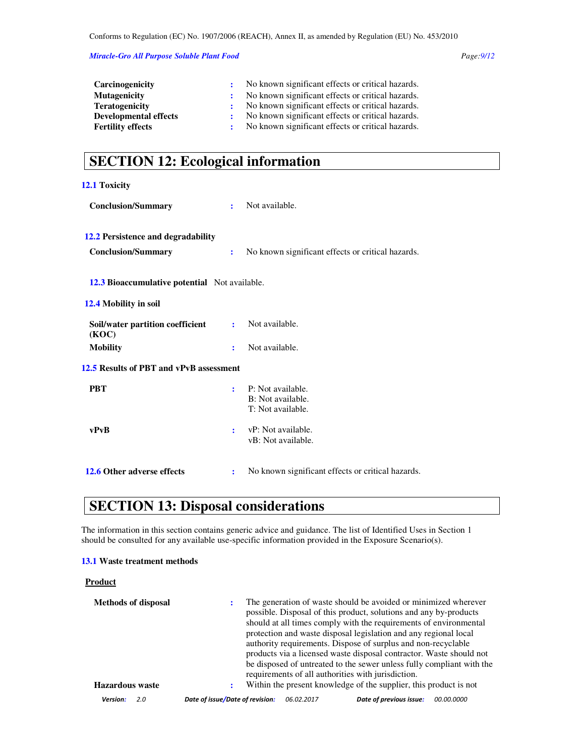*Miracle-Gro All Purpose Soluble Plant Food Page:9/12* 

| Carcinogenicity              | No known significant effects or critical hazards. |
|------------------------------|---------------------------------------------------|
| <b>Mutagenicity</b>          | No known significant effects or critical hazards. |
| <b>Teratogenicity</b>        | No known significant effects or critical hazards. |
| <b>Developmental effects</b> | No known significant effects or critical hazards. |
| <b>Fertility effects</b>     | No known significant effects or critical hazards. |

# **SECTION 12: Ecological information**

| 12.1 Toxicity                                        |                |                                                             |
|------------------------------------------------------|----------------|-------------------------------------------------------------|
| <b>Conclusion/Summary</b>                            | $\mathbf{r}$   | Not available.                                              |
| 12.2 Persistence and degradability                   |                |                                                             |
| <b>Conclusion/Summary</b>                            | ÷              | No known significant effects or critical hazards.           |
| <b>12.3 Bioaccumulative potential</b> Not available. |                |                                                             |
| 12.4 Mobility in soil                                |                |                                                             |
| Soil/water partition coefficient<br>(KOC)            | $\mathbf{r}$   | Not available.                                              |
| <b>Mobility</b>                                      | $\ddot{\cdot}$ | Not available.                                              |
| 12.5 Results of PBT and vPvB assessment              |                |                                                             |
| <b>PBT</b>                                           | ÷              | P: Not available.<br>B: Not available.<br>T: Not available. |
| vPvB                                                 | ÷              | vP: Not available.<br>vB: Not available.                    |
| 12.6 Other adverse effects                           | ÷              | No known significant effects or critical hazards.           |

# **SECTION 13: Disposal considerations**

The information in this section contains generic advice and guidance. The list of Identified Uses in Section 1 should be consulted for any available use-specific information provided in the Exposure Scenario(s).

#### **13.1 Waste treatment methods**

#### **Product**

| <b>Methods of disposal</b><br><b>Hazardous</b> waste |                                 |            | The generation of waste should be avoided or minimized wherever<br>possible. Disposal of this product, solutions and any by-products<br>should at all times comply with the requirements of environmental<br>protection and waste disposal legislation and any regional local<br>authority requirements. Dispose of surplus and non-recyclable<br>products via a licensed waste disposal contractor. Waste should not<br>be disposed of untreated to the sewer unless fully compliant with the<br>requirements of all authorities with jurisdiction.<br>Within the present knowledge of the supplier, this product is not |                   |
|------------------------------------------------------|---------------------------------|------------|---------------------------------------------------------------------------------------------------------------------------------------------------------------------------------------------------------------------------------------------------------------------------------------------------------------------------------------------------------------------------------------------------------------------------------------------------------------------------------------------------------------------------------------------------------------------------------------------------------------------------|-------------------|
| <b>Version:</b><br>2.0                               | Date of issue/Date of revision: | 06.02.2017 | Date of previous issue:                                                                                                                                                                                                                                                                                                                                                                                                                                                                                                                                                                                                   | <i>00.00.0000</i> |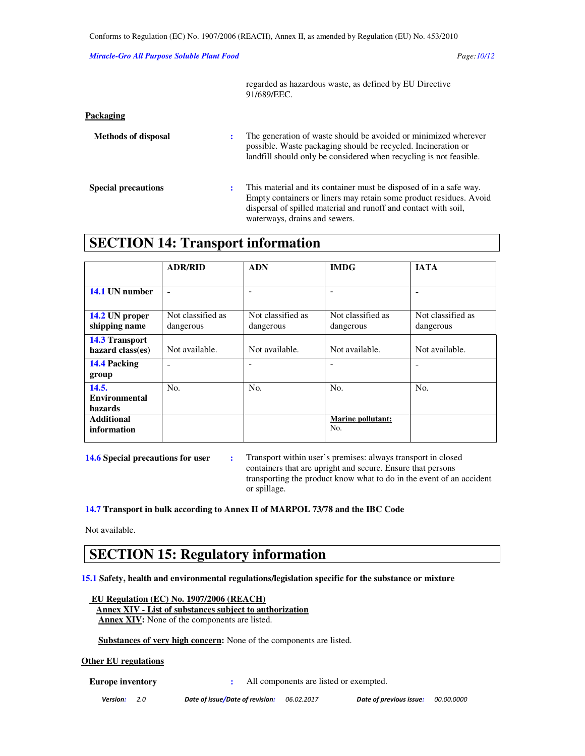#### *Miracle-Gro All Purpose Soluble Plant Food Page:10/12*

|                            |                | regarded as hazardous waste, as defined by EU Directive<br>91/689/EEC.                                                                                                                                                                       |  |  |  |
|----------------------------|----------------|----------------------------------------------------------------------------------------------------------------------------------------------------------------------------------------------------------------------------------------------|--|--|--|
| Packaging                  |                |                                                                                                                                                                                                                                              |  |  |  |
| <b>Methods of disposal</b> | ÷              | The generation of waste should be avoided or minimized wherever<br>possible. Waste packaging should be recycled. Incineration or<br>landfill should only be considered when recycling is not feasible.                                       |  |  |  |
| <b>Special precautions</b> | $\ddot{\cdot}$ | This material and its container must be disposed of in a safe way.<br>Empty containers or liners may retain some product residues. Avoid<br>dispersal of spilled material and runoff and contact with soil,<br>waterways, drains and sewers. |  |  |  |

## **SECTION 14: Transport information**

|                       | <b>ADR/RID</b>    | <b>ADN</b>        | <b>IMDG</b>              | <b>IATA</b>       |
|-----------------------|-------------------|-------------------|--------------------------|-------------------|
|                       |                   |                   |                          |                   |
| 14.1 UN number        |                   |                   |                          |                   |
|                       |                   |                   |                          |                   |
| 14.2 UN proper        | Not classified as | Not classified as | Not classified as        | Not classified as |
| shipping name         | dangerous         | dangerous         | dangerous                | dangerous         |
| <b>14.3 Transport</b> |                   |                   |                          |                   |
| hazard class(es)      | Not available.    | Not available.    | Not available.           | Not available.    |
| 14.4 Packing          | ۰                 |                   |                          |                   |
| group                 |                   |                   |                          |                   |
| 14.5.                 | No.               | No.               | No.                      | No.               |
| <b>Environmental</b>  |                   |                   |                          |                   |
| hazards               |                   |                   |                          |                   |
| <b>Additional</b>     |                   |                   | <b>Marine pollutant:</b> |                   |
| information           |                   |                   | No.                      |                   |
|                       |                   |                   |                          |                   |

**14.6 Special precautions for user :** Transport within user's premises: always transport in closed containers that are upright and secure. Ensure that persons transporting the product know what to do in the event of an accident or spillage.

**14.7 Transport in bulk according to Annex II of MARPOL 73/78 and the IBC Code** 

Not available.

## **SECTION 15: Regulatory information**

**15.1 Safety, health and environmental regulations/legislation specific for the substance or mixture** 

 **EU Regulation (EC) No. 1907/2006 (REACH) Annex XIV - List of substances subject to authorization Annex XIV:** None of the components are listed.

 **Substances of very high concern:** None of the components are listed.

### **Other EU regulations**

**Europe inventory** : All components are listed or exempted.

Version: 2.0 Date of issue/Date of revision: 06.02.2017 Date of previous issue: 00.00.0000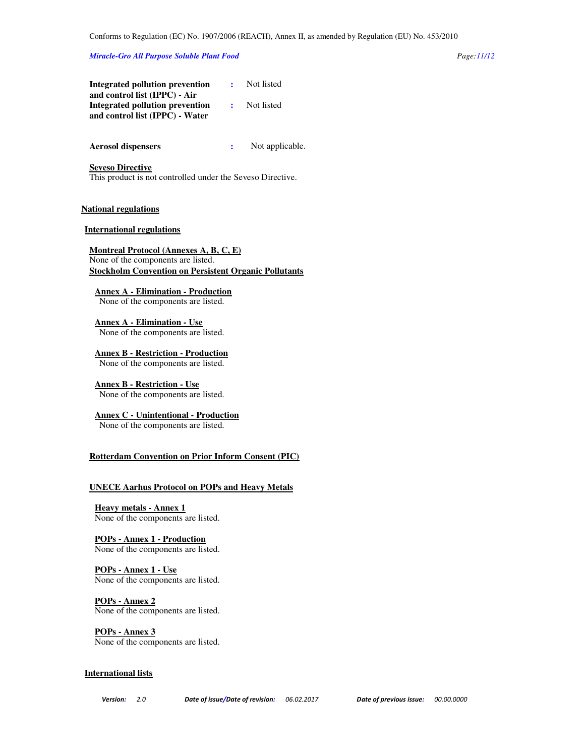#### *Miracle-Gro All Purpose Soluble Plant Food Page:11/12*

| Integrated pollution prevention | Not listed |
|---------------------------------|------------|
| and control list (IPPC) - Air   |            |
| Integrated pollution prevention | Not listed |
| and control list (IPPC) - Water |            |

#### **Aerosol dispensers :**  Not applicable.

#### **Seveso Directive**

This product is not controlled under the Seveso Directive.

#### **National regulations**

#### **International regulations**

**Montreal Protocol (Annexes A, B, C, E)** None of the components are listed. **Stockholm Convention on Persistent Organic Pollutants**

**Annex A - Elimination - Production**

None of the components are listed.

**Annex A - Elimination - Use** None of the components are listed.

**Annex B - Restriction - Production** None of the components are listed.

**Annex B - Restriction - Use** None of the components are listed.

**Annex C - Unintentional - Production** None of the components are listed.

### **Rotterdam Convention on Prior Inform Consent (PIC)**

#### **UNECE Aarhus Protocol on POPs and Heavy Metals**

**Heavy metals - Annex 1** None of the components are listed.

**POPs - Annex 1 - Production** None of the components are listed.

#### **POPs - Annex 1 - Use** None of the components are listed.

**POPs - Annex 2** None of the components are listed.

**POPs - Annex 3** None of the components are listed.

#### **International lists**